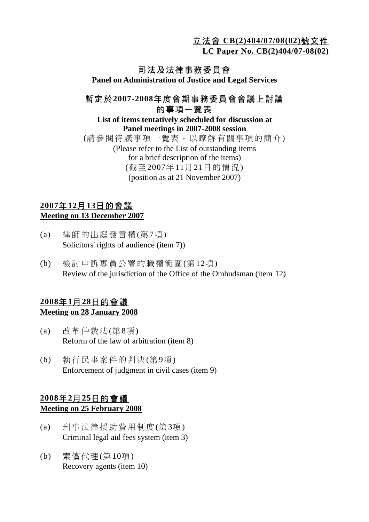立法會 **CB(2)404/07/08(02)**號文件

**LC Paper No. CB(2)404/07-08(02)**

# 司法及法律事務委員會

**Panel on Administration of Justice and Legal Services** 

# 暫定於**2007-2008**年度會期事務委員會會議上討論 的事項一覽表

#### **List of items tentatively scheduled for discussion at Panel meetings in 2007-2008 session**  (請參閱待議事項一覽表,以瞭解有關事項的簡介) (Please refer to the List of outstanding items for a brief description of the items) (截至2007年11月21日的情況) (position as at 21 November 2007)

#### **2007**年**12**月**13**日的會議 **Meeting on 13 December 2007**

- (a) 律師的出庭發言權(第7項) Solicitors' rights of audience (item 7))
- (b) 檢討申訴專員公署的職權範圍(第12項) Review of the jurisdiction of the Office of the Ombudsman (item 12)

#### **2008**年**1**月**28**日的會議 **Meeting on 28 January 2008**

- (a) 改革仲裁法(第8項) Reform of the law of arbitration (item 8)
- (b) 執行民事案件的判決(第9項) Enforcement of judgment in civil cases (item 9)

# **2008**年**2**月**25**日的會議 **Meeting on 25 February 2008**

- (a) 刑事法律援助費用制度(第3項) Criminal legal aid fees system (item 3)
- (b) 索償代理(第10項) Recovery agents (item 10)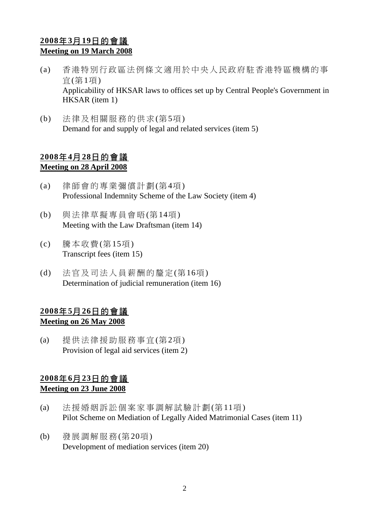# **2008**年**3**月**19**日的會議 **Meeting on 19 March 2008**

- (a) 香港特別行政區法例條文適用於中央人民政府駐香港特區機構的事 宜(第1項) Applicability of HKSAR laws to offices set up by Central People's Government in HKSAR (item 1)
- (b) 法律及相關服務的供求(第5項) Demand for and supply of legal and related services (item 5)

#### **2008**年**4**月**28**日的會議 **Meeting on 28 April 2008**

- (a) 律師會的專業彌償計劃(第4項) Professional Indemnity Scheme of the Law Society (item 4)
- (b) 與法律草擬專員會晤(第14項) Meeting with the Law Draftsman (item 14)
- (c) 騰本收費(第15項) Transcript fees (item 15)
- (d) 法官及司法人員薪酬的釐定(第16項) Determination of judicial remuneration (item 16)

# **2008**年**5**月**26**日的會議 **Meeting on 26 May 2008**

(a) 提供法律援助服務事宜(第2項) Provision of legal aid services (item 2)

# **2008**年**6**月**23**日的會議

#### **Meeting on 23 June 2008**

- (a) 法援婚姻訴訟個案家事調解試驗計劃(第11項) Pilot Scheme on Mediation of Legally Aided Matrimonial Cases (item 11)
- (b) 發展調解服務(第20項) Development of mediation services (item 20)